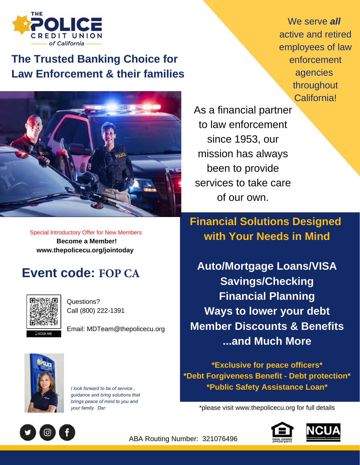

## **The Trusted Banking Choice for Law Enforcement & their families**



We serve *all* active and retired employees of law enforcement agencies throughout California!

As a financial partner to law enforcement since 1953, our mission has always been to provide services to take care of our own.

Special Introductory Offer for New Members  **Become a Member! www.thepolicecu.org/jointoday**

## **Event code: FOP CA**



Questions? Call (800) 222-1391

Email: MDTeam@thepolicecu.org



*I look forward to be of service , guidance and bring solutions that brings peace of mind to you and your family. Dar* 

**Financial Solutions Designed with Your Needs in Mind**

**Auto/Mortgage Loans/VISA Savings/Checking Financial Planning Ways to lower your debt Member Discounts & Benefits ...and Much More**

**\*Exclusive for peace officers\* \*Debt Forgiveness Benefit - Debt protection\* \*Public Safety Assistance Loan\***

\*please visit www.thepolicecu.org for full details



ABA Routing Number: 321076496